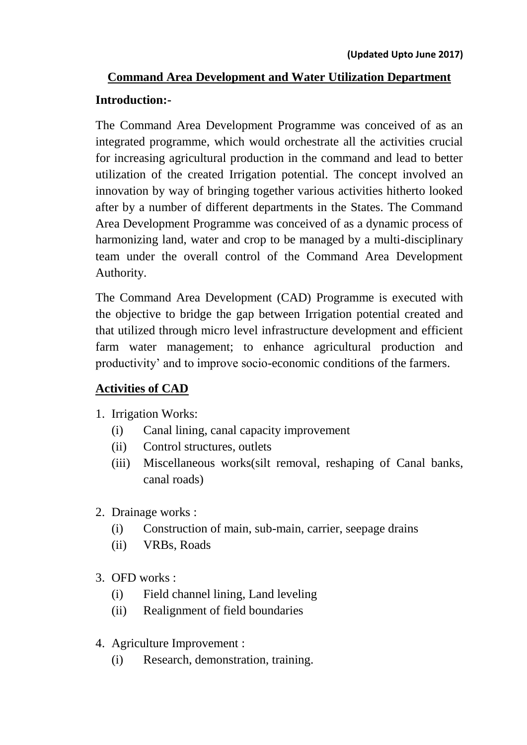# **Command Area Development and Water Utilization Department**

#### **Introduction:-**

The Command Area Development Programme was conceived of as an integrated programme, which would orchestrate all the activities crucial for increasing agricultural production in the command and lead to better utilization of the created Irrigation potential. The concept involved an innovation by way of bringing together various activities hitherto looked after by a number of different departments in the States. The Command Area Development Programme was conceived of as a dynamic process of harmonizing land, water and crop to be managed by a multi-disciplinary team under the overall control of the Command Area Development Authority.

The Command Area Development (CAD) Programme is executed with the objective to bridge the gap between Irrigation potential created and that utilized through micro level infrastructure development and efficient farm water management; to enhance agricultural production and productivity' and to improve socio-economic conditions of the farmers.

#### **Activities of CAD**

- 1. Irrigation Works:
	- (i) Canal lining, canal capacity improvement
	- (ii) Control structures, outlets
	- (iii) Miscellaneous works(silt removal, reshaping of Canal banks, canal roads)
- 2. Drainage works :
	- (i) Construction of main, sub-main, carrier, seepage drains
	- (ii) VRBs, Roads
- 3. OFD works :
	- (i) Field channel lining, Land leveling
	- (ii) Realignment of field boundaries
- 4. Agriculture Improvement :
	- (i) Research, demonstration, training.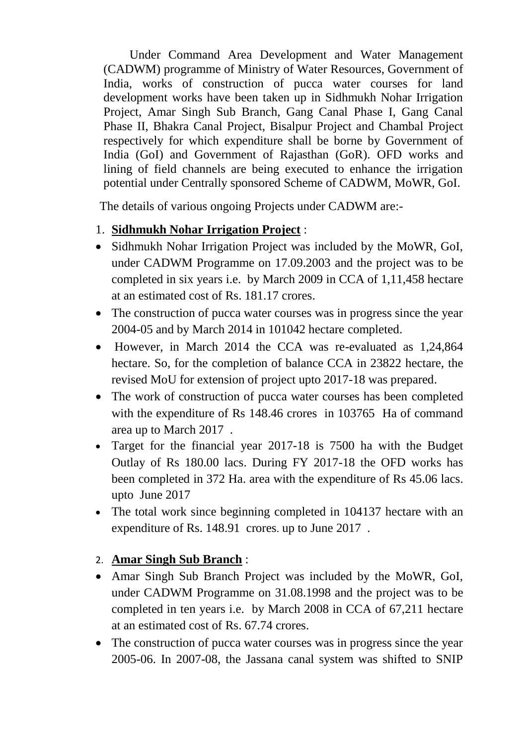Under Command Area Development and Water Management (CADWM) programme of Ministry of Water Resources, Government of India, works of construction of pucca water courses for land development works have been taken up in Sidhmukh Nohar Irrigation Project, Amar Singh Sub Branch, Gang Canal Phase I, Gang Canal Phase II, Bhakra Canal Project, Bisalpur Project and Chambal Project respectively for which expenditure shall be borne by Government of India (GoI) and Government of Rajasthan (GoR). OFD works and lining of field channels are being executed to enhance the irrigation potential under Centrally sponsored Scheme of CADWM, MoWR, GoI.

The details of various ongoing Projects under CADWM are:-

#### 1. **Sidhmukh Nohar Irrigation Project** :

- Sidhmukh Nohar Irrigation Project was included by the MoWR, GoI, under CADWM Programme on 17.09.2003 and the project was to be completed in six years i.e. by March 2009 in CCA of 1,11,458 hectare at an estimated cost of Rs. 181.17 crores.
- The construction of pucca water courses was in progress since the year 2004-05 and by March 2014 in 101042 hectare completed.
- However, in March 2014 the CCA was re-evaluated as 1,24,864 hectare. So, for the completion of balance CCA in 23822 hectare, the revised MoU for extension of project upto 2017-18 was prepared.
- The work of construction of pucca water courses has been completed with the expenditure of Rs 148.46 crores in 103765 Ha of command area up to March 2017 .
- Target for the financial year 2017-18 is 7500 ha with the Budget Outlay of Rs 180.00 lacs. During FY 2017-18 the OFD works has been completed in 372 Ha. area with the expenditure of Rs 45.06 lacs. upto June 2017
- The total work since beginning completed in 104137 hectare with an expenditure of Rs. 148.91 crores. up to June 2017 .

## 2. **Amar Singh Sub Branch** :

- Amar Singh Sub Branch Project was included by the MoWR, GoI, under CADWM Programme on 31.08.1998 and the project was to be completed in ten years i.e. by March 2008 in CCA of 67,211 hectare at an estimated cost of Rs. 67.74 crores.
- The construction of pucca water courses was in progress since the year 2005-06. In 2007-08, the Jassana canal system was shifted to SNIP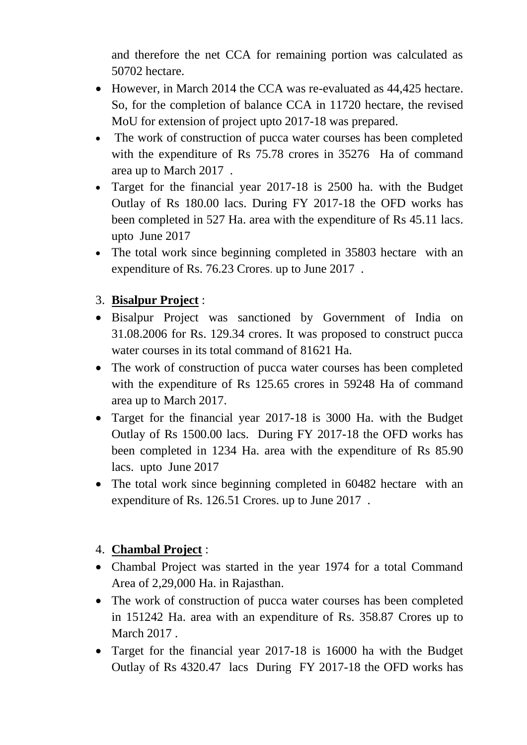and therefore the net CCA for remaining portion was calculated as 50702 hectare.

- However, in March 2014 the CCA was re-evaluated as 44,425 hectare. So, for the completion of balance CCA in 11720 hectare, the revised MoU for extension of project upto 2017-18 was prepared.
- The work of construction of pucca water courses has been completed with the expenditure of Rs 75.78 crores in 35276 Ha of command area up to March 2017 .
- Target for the financial year 2017-18 is 2500 ha. with the Budget Outlay of Rs 180.00 lacs. During FY 2017-18 the OFD works has been completed in 527 Ha. area with the expenditure of Rs 45.11 lacs. upto June 2017
- The total work since beginning completed in 35803 hectare with an expenditure of Rs. 76.23 Crores. up to June 2017 .

# 3. **Bisalpur Project** :

- Bisalpur Project was sanctioned by Government of India on 31.08.2006 for Rs. 129.34 crores. It was proposed to construct pucca water courses in its total command of 81621 Ha.
- The work of construction of pucca water courses has been completed with the expenditure of Rs 125.65 crores in 59248 Ha of command area up to March 2017.
- Target for the financial year 2017-18 is 3000 Ha. with the Budget Outlay of Rs 1500.00 lacs. During FY 2017-18 the OFD works has been completed in 1234 Ha. area with the expenditure of Rs 85.90 lacs. upto June 2017
- The total work since beginning completed in 60482 hectare with an expenditure of Rs. 126.51 Crores. up to June 2017 .

## 4. **Chambal Project** :

- Chambal Project was started in the year 1974 for a total Command Area of 2,29,000 Ha. in Rajasthan.
- The work of construction of pucca water courses has been completed in 151242 Ha. area with an expenditure of Rs. 358.87 Crores up to March 2017 .
- Target for the financial year 2017-18 is 16000 ha with the Budget Outlay of Rs 4320.47 lacs During FY 2017-18 the OFD works has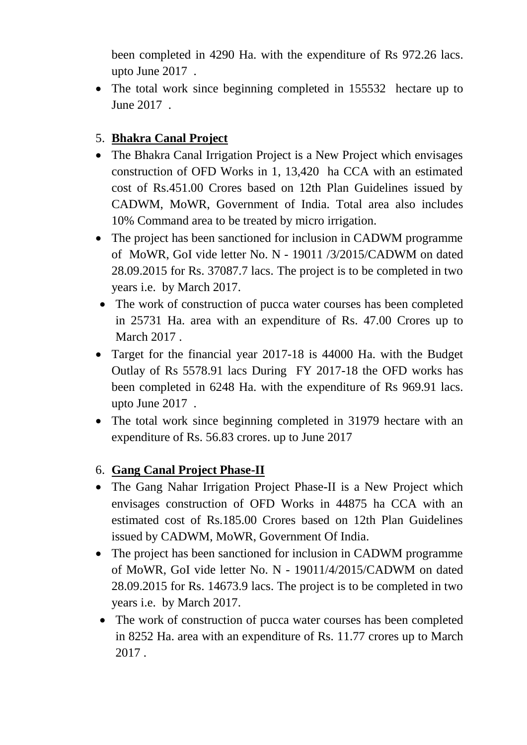been completed in 4290 Ha. with the expenditure of Rs 972.26 lacs. upto June 2017 .

• The total work since beginning completed in 155532 hectare up to June 2017 .

## 5. **Bhakra Canal Project**

- The Bhakra Canal Irrigation Project is a New Project which envisages construction of OFD Works in 1, 13,420 ha CCA with an estimated cost of Rs.451.00 Crores based on 12th Plan Guidelines issued by CADWM, MoWR, Government of India. Total area also includes 10% Command area to be treated by micro irrigation.
- The project has been sanctioned for inclusion in CADWM programme of MoWR, GoI vide letter No. N - 19011 /3/2015/CADWM on dated 28.09.2015 for Rs. 37087.7 lacs. The project is to be completed in two years i.e. by March 2017.
- The work of construction of pucca water courses has been completed in 25731 Ha. area with an expenditure of Rs. 47.00 Crores up to March 2017 .
- Target for the financial year 2017-18 is 44000 Ha. with the Budget Outlay of Rs 5578.91 lacs During FY 2017-18 the OFD works has been completed in 6248 Ha. with the expenditure of Rs 969.91 lacs. upto June 2017 .
- The total work since beginning completed in 31979 hectare with an expenditure of Rs. 56.83 crores. up to June 2017

#### 6. **Gang Canal Project Phase-II**

- The Gang Nahar Irrigation Project Phase-II is a New Project which envisages construction of OFD Works in 44875 ha CCA with an estimated cost of Rs.185.00 Crores based on 12th Plan Guidelines issued by CADWM, MoWR, Government Of India.
- The project has been sanctioned for inclusion in CADWM programme of MoWR, GoI vide letter No. N - 19011/4/2015/CADWM on dated 28.09.2015 for Rs. 14673.9 lacs. The project is to be completed in two years i.e. by March 2017.
- The work of construction of pucca water courses has been completed in 8252 Ha. area with an expenditure of Rs. 11.77 crores up to March 2017 .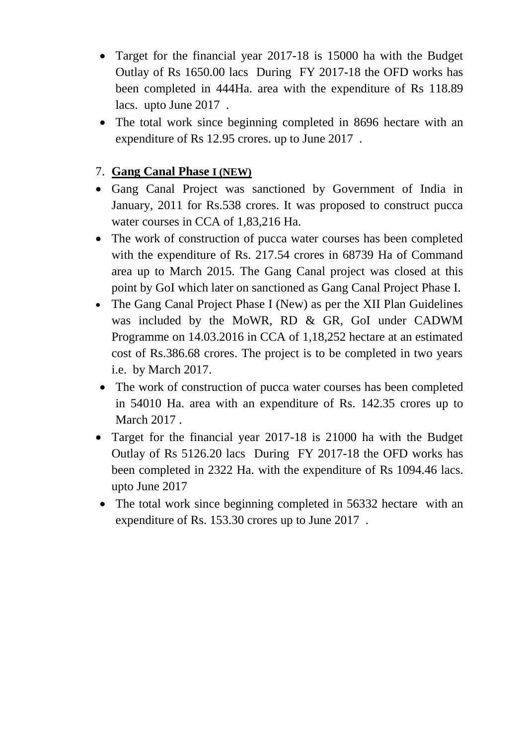- Target for the financial year 2017-18 is 15000 ha with the Budget Outlay of Rs 1650.00 lacs During FY 2017-18 the OFD works has been completed in 444Ha. area with the expenditure of Rs 118.89 lacs. upto June 2017 .
- The total work since beginning completed in 8696 hectare with an expenditure of Rs 12.95 crores. up to June 2017 .

#### 7. **Gang Canal Phase I (NEW)**

- Gang Canal Project was sanctioned by Government of India in January, 2011 for Rs.538 crores. It was proposed to construct pucca water courses in CCA of 1,83,216 Ha.
- The work of construction of pucca water courses has been completed with the expenditure of Rs. 217.54 crores in 68739 Ha of Command area up to March 2015. The Gang Canal project was closed at this point by GoI which later on sanctioned as Gang Canal Project Phase I.
- The Gang Canal Project Phase I (New) as per the XII Plan Guidelines was included by the MoWR, RD & GR, GoI under CADWM Programme on 14.03.2016 in CCA of 1,18,252 hectare at an estimated cost of Rs.386.68 crores. The project is to be completed in two years i.e. by March 2017.
- The work of construction of pucca water courses has been completed in 54010 Ha. area with an expenditure of Rs. 142.35 crores up to March 2017 .
- Target for the financial year 2017-18 is 21000 ha with the Budget Outlay of Rs 5126.20 lacs During FY 2017-18 the OFD works has been completed in 2322 Ha. with the expenditure of Rs 1094.46 lacs. upto June 2017
- The total work since beginning completed in 56332 hectare with an expenditure of Rs. 153.30 crores up to June 2017 .